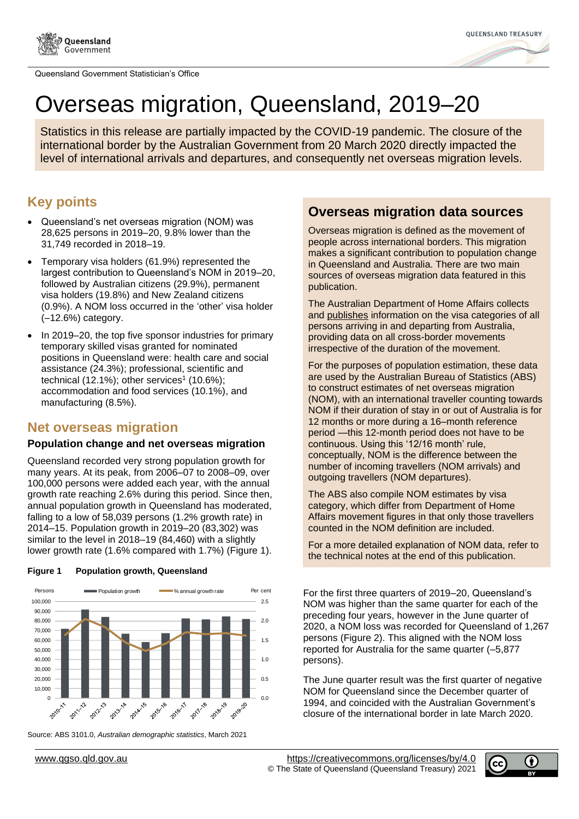



# Overseas migration, Queensland, 2019–20

Statistics in this release are partially impacted by the COVID-19 pandemic. The closure of the international border by the Australian Government from 20 March 2020 directly impacted the level of international arrivals and departures, and consequently net overseas migration levels.

## **Key points**

- Queensland's net overseas migration (NOM) was 28,625 persons in 2019–20, 9.8% lower than the 31,749 recorded in 2018–19.
- Temporary visa holders (61.9%) represented the largest contribution to Queensland's NOM in 2019–20, followed by Australian citizens (29.9%), permanent visa holders (19.8%) and New Zealand citizens (0.9%). A NOM loss occurred in the 'other' visa holder (–12.6%) category.
- In 2019–20, the top five sponsor industries for primary temporary skilled visas granted for nominated positions in Queensland were: health care and social assistance (24.3%); professional, scientific and technical (12.1%); other services<sup>1</sup> (10.6%); accommodation and food services (10.1%), and manufacturing (8.5%).

## **Net overseas migration**

## **Population change and net overseas migration**

Queensland recorded very strong population growth for many years. At its peak, from 2006–07 to 2008–09, over 100,000 persons were added each year, with the annual growth rate reaching 2.6% during this period. Since then, annual population growth in Queensland has moderated, falling to a low of 58,039 persons (1.2% growth rate) in 2014–15. Population growth in 2019–20 (83,302) was similar to the level in 2018–19 (84,460) with a slightly lower growth rate (1.6% compared with 1.7%) (Figure 1).



**Figure 1 Population growth, Queensland**

## Source: ABS 3101.0, *Australian demographic statistics*, March 2021



Overseas migration is defined as the movement of people across international borders. This migration makes a significant contribution to population change in Queensland and Australia. There are two main sources of overseas migration data featured in this publication.

The Australian Department of Home Affairs collects and [publishes](https://www.homeaffairs.gov.au/research-and-statistics/statistics/visa-statistics/live) information on the visa categories of all persons arriving in and departing from Australia, providing data on all cross-border movements irrespective of the duration of the movement.

For the purposes of population estimation, these data are used by the Australian Bureau of Statistics (ABS) to construct estimates of net overseas migration (NOM), with an international traveller counting towards NOM if their duration of stay in or out of Australia is for 12 months or more during a 16–month reference period —this 12-month period does not have to be continuous. Using this '12/16 month' rule, conceptually, NOM is the difference between the number of incoming travellers (NOM arrivals) and outgoing travellers (NOM departures).

The ABS also compile NOM estimates by visa category, which differ from Department of Home Affairs movement figures in that only those travellers counted in the NOM definition are included.

For a more detailed explanation of NOM data, refer to the technical notes at the end of this publication.

For the first three quarters of 2019–20, Queensland's NOM was higher than the same quarter for each of the preceding four years, however in the June quarter of 2020, a NOM loss was recorded for Queensland of 1,267 persons [\(Figure 2\)](#page-1-0). This aligned with the NOM loss reported for Australia for the same quarter (–5,877 persons).

The June quarter result was the first quarter of negative NOM for Queensland since the December quarter of 1994, and coincided with the Australian Government's closure of the international border in late March 2020.

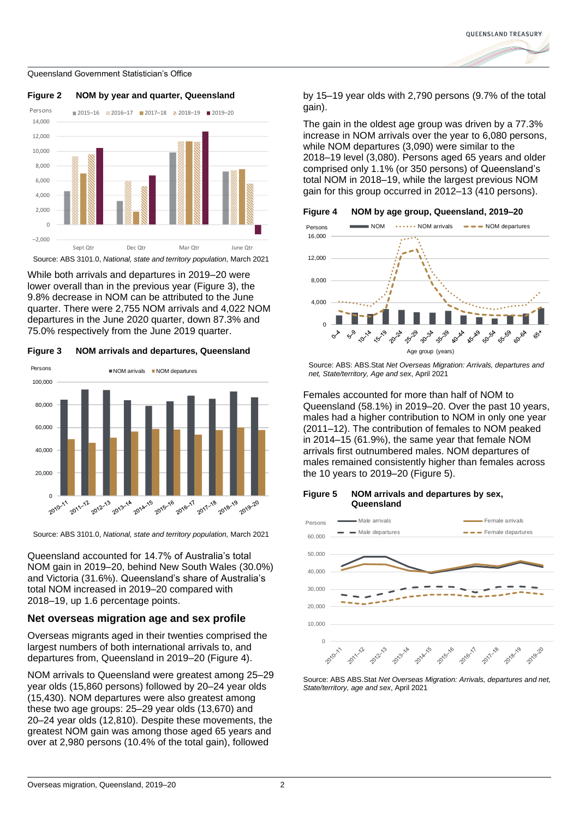



<span id="page-1-0"></span>**Figure 2 NOM by year and quarter, Queensland**

Source: ABS 3101.0, *National, state and territory population,* March 2021

While both arrivals and departures in 2019–20 were lower overall than in the previous year [\(Figure 3\)](#page-1-1), the 9.8% decrease in NOM can be attributed to the June quarter. There were 2,755 NOM arrivals and 4,022 NOM departures in the June 2020 quarter, down 87.3% and 75.0% respectively from the June 2019 quarter.

<span id="page-1-1"></span>**Figure 3 NOM arrivals and departures, Queensland**



Source: ABS 3101.0, *National, state and territory population,* March 2021

Queensland accounted for 14.7% of Australia's total NOM gain in 2019–20, behind New South Wales (30.0%) and Victoria (31.6%). Queensland's share of Australia's total NOM increased in 2019–20 compared with 2018–19, up 1.6 percentage points.

## **Net overseas migration age and sex profile**

Overseas migrants aged in their twenties comprised the largest numbers of both international arrivals to, and departures from, Queensland in 2019–20 [\(Figure 4\)](#page-1-2).

NOM arrivals to Queensland were greatest among 25–29 year olds (15,860 persons) followed by 20–24 year olds (15,430). NOM departures were also greatest among these two age groups: 25–29 year olds (13,670) and 20–24 year olds (12,810). Despite these movements, the greatest NOM gain was among those aged 65 years and over at 2,980 persons (10.4% of the total gain), followed

by 15–19 year olds with 2,790 persons (9.7% of the total gain).

The gain in the oldest age group was driven by a 77.3% increase in NOM arrivals over the year to 6,080 persons, while NOM departures (3,090) were similar to the 2018–19 level (3,080). Persons aged 65 years and older comprised only 1.1% (or 350 persons) of Queensland's total NOM in 2018–19, while the largest previous NOM gain for this group occurred in 2012–13 (410 persons).

<span id="page-1-2"></span>



Source: ABS: ABS.Stat *Net Overseas Migration: Arrivals, departures and net, State/territory, Age and sex*, April 2021

Females accounted for more than half of NOM to Queensland (58.1%) in 2019–20. Over the past 10 years, males had a higher contribution to NOM in only one year (2011–12). The contribution of females to NOM peaked in 2014–15 (61.9%), the same year that female NOM arrivals first outnumbered males. NOM departures of males remained consistently higher than females across the 10 years to 2019–20 [\(Figure 5\)](#page-1-3).

#### <span id="page-1-3"></span>**Figure 5 NOM arrivals and departures by sex, Queensland**



Source: ABS ABS.Stat *Net Overseas Migration: Arrivals, departures and net, State/territory, age and sex*, April 2021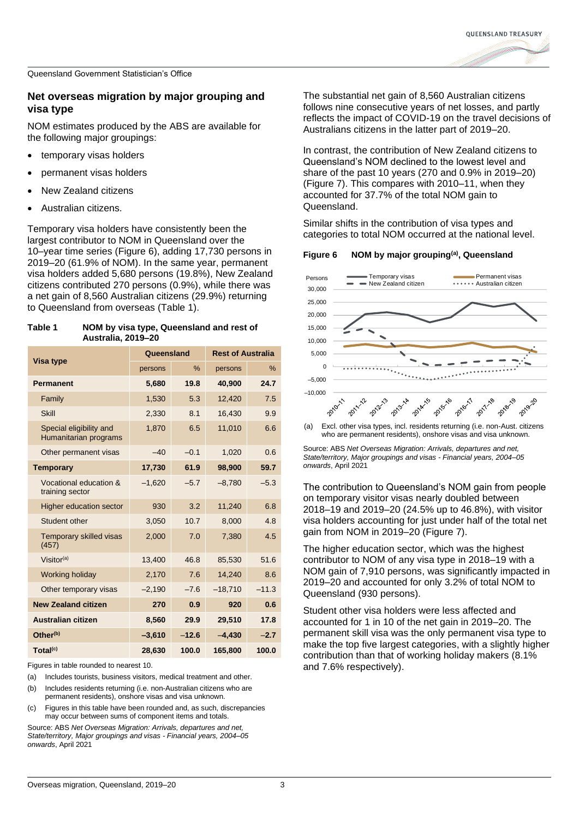## **Net overseas migration by major grouping and visa type**

NOM estimates produced by the ABS are available for the following major groupings:

- temporary visas holders
- permanent visas holders
- New Zealand citizens
- Australian citizens.

Temporary visa holders have consistently been the largest contributor to NOM in Queensland over the 10–year time series (Figure 6), adding 17,730 persons in 2019–20 (61.9% of NOM). In the same year, permanent visa holders added 5,680 persons (19.8%), New Zealand citizens contributed 270 persons (0.9%), while there was a net gain of 8,560 Australian citizens (29.9%) returning to Queensland from overseas [\(Table 1\)](#page-2-0).

<span id="page-2-0"></span>

| Table 1 | NOM by visa type, Queensland and rest of |
|---------|------------------------------------------|
|         | <b>Australia, 2019-20</b>                |

|                                                  | Queensland |         | <b>Rest of Australia</b> |         |
|--------------------------------------------------|------------|---------|--------------------------|---------|
| Visa type                                        | persons    | $\%$    | persons                  | $\%$    |
| <b>Permanent</b>                                 | 5,680      | 19.8    | 40,900                   | 24.7    |
| Family                                           | 1,530      | 5.3     | 12,420                   | 7.5     |
| <b>Skill</b>                                     | 2,330      | 8.1     | 16.430                   | 9.9     |
| Special eligibility and<br>Humanitarian programs | 1,870      | 6.5     | 11.010                   | 6.6     |
| Other permanent visas                            | $-40$      | $-0.1$  | 1,020                    | 0.6     |
| <b>Temporary</b>                                 | 17,730     | 61.9    | 98,900                   | 59.7    |
| Vocational education &<br>training sector        | $-1,620$   | $-5.7$  | $-8,780$                 | $-5.3$  |
| <b>Higher education sector</b>                   | 930        | 3.2     | 11,240                   | 6.8     |
| Student other                                    | 3,050      | 10.7    | 8,000                    | 4.8     |
| <b>Temporary skilled visas</b><br>(457)          | 2,000      | 7.0     | 7,380                    | 4.5     |
| Visitor $(a)$                                    | 13,400     | 46.8    | 85,530                   | 51.6    |
| Working holiday                                  | 2,170      | 7.6     | 14,240                   | 8.6     |
| Other temporary visas                            | $-2,190$   | $-7.6$  | $-18,710$                | $-11.3$ |
| <b>New Zealand citizen</b>                       | 270        | 0.9     | 920                      | 0.6     |
| <b>Australian citizen</b>                        | 8,560      | 29.9    | 29,510                   | 17.8    |
| Other <sup>(b)</sup>                             | $-3,610$   | $-12.6$ | $-4,430$                 | $-2.7$  |
| Total <sup>(c)</sup>                             | 28,630     | 100.0   | 165,800                  | 100.0   |

Figures in table rounded to nearest 10.

- (a) Includes tourists, business visitors, medical treatment and other.
- (b) Includes residents returning (i.e. non-Australian citizens who are permanent residents), onshore visas and visa unknown.
- (c) Figures in this table have been rounded and, as such, discrepancies may occur between sums of component items and totals.

Source: ABS *Net Overseas Migration: Arrivals, departures and net, State/territory, Major groupings and visas - Financial years, 2004–05 onwards*, April 2021

The substantial net gain of 8,560 Australian citizens follows nine consecutive years of net losses, and partly reflects the impact of COVID-19 on the travel decisions of Australians citizens in the latter part of 2019–20.

In contrast, the contribution of New Zealand citizens to Queensland's NOM declined to the lowest level and share of the past 10 years (270 and 0.9% in 2019–20) [\(Figure 7\)](#page-3-0). This compares with 2010–11, when they accounted for 37.7% of the total NOM gain to Queensland.

Similar shifts in the contribution of visa types and categories to total NOM occurred at the national level.

## **Figure 6 NOM by major grouping(a), Queensland**



(a) Excl. other visa types, incl. residents returning (i.e. non-Aust. citizens who are permanent residents), onshore visas and visa unknown.

Source: ABS *Net Overseas Migration: Arrivals, departures and net, State/territory, Major groupings and visas - Financial years, 2004–05 onwards*, April 2021

The contribution to Queensland's NOM gain from people on temporary visitor visas nearly doubled between 2018–19 and 2019–20 (24.5% up to 46.8%), with visitor visa holders accounting for just under half of the total net gain from NOM in 2019–20 [\(Figure 7\)](#page-3-0).

The higher education sector, which was the highest contributor to NOM of any visa type in 2018–19 with a NOM gain of 7,910 persons, was significantly impacted in 2019–20 and accounted for only 3.2% of total NOM to Queensland (930 persons).

Student other visa holders were less affected and accounted for 1 in 10 of the net gain in 2019–20. The permanent skill visa was the only permanent visa type to make the top five largest categories, with a slightly higher contribution than that of working holiday makers (8.1% and 7.6% respectively).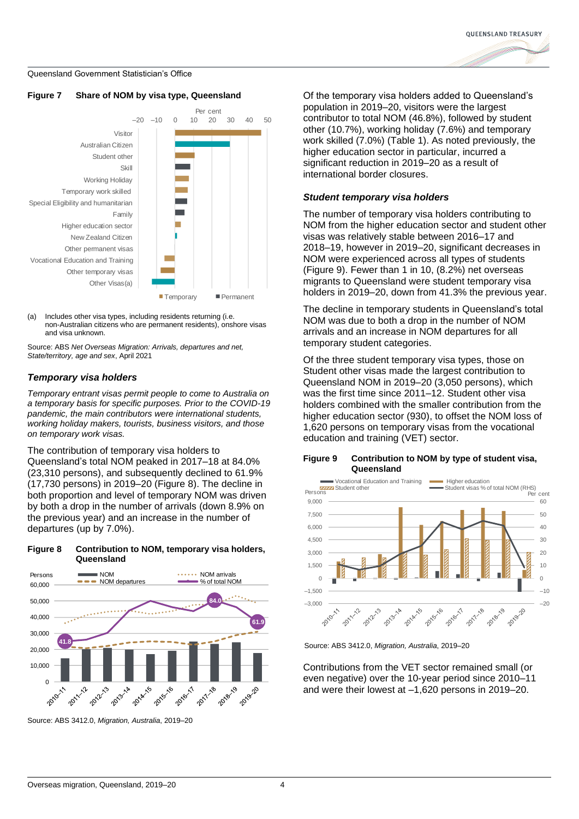

### <span id="page-3-0"></span>**Figure 7 Share of NOM by visa type, Queensland**



(a) Includes other visa types, including residents returning (i.e. non-Australian citizens who are permanent residents), onshore visas and visa unknown.

Source: ABS *Net Overseas Migration: Arrivals, departures and net, State/territory, age and sex*, April 2021

## *Temporary visa holders*

*Temporary entrant visas permit people to come to Australia on a temporary basis for specific purposes. Prior to the COVID-19 pandemic, the main contributors were international students, working holiday makers, tourists, business visitors, and those on temporary work visas.*

The contribution of temporary visa holders to Queensland's total NOM peaked in 2017–18 at 84.0% (23,310 persons), and subsequently declined to 61.9% (17,730 persons) in 2019–20 [\(Figure 8\)](#page-3-1). The decline in both proportion and level of temporary NOM was driven by both a drop in the number of arrivals (down 8.9% on the previous year) and an increase in the number of departures (up by 7.0%).

<span id="page-3-1"></span>



Source: ABS 3412.0, *Migration, Australia*, 2019–20

Of the temporary visa holders added to Queensland's population in 2019–20, visitors were the largest contributor to total NOM (46.8%), followed by student other (10.7%), working holiday (7.6%) and temporary work skilled (7.0%) [\(Table 1\)](#page-2-0). As noted previously, the higher education sector in particular, incurred a significant reduction in 2019–20 as a result of international border closures.

## *Student temporary visa holders*

The number of temporary visa holders contributing to NOM from the higher education sector and student other visas was relatively stable between 2016–17 and 2018–19, however in 2019–20, significant decreases in NOM were experienced across all types of students [\(Figure 9\)](#page-3-2). Fewer than 1 in 10, (8.2%) net overseas migrants to Queensland were student temporary visa holders in 2019–20, down from 41.3% the previous year.

The decline in temporary students in Queensland's total NOM was due to both a drop in the number of NOM arrivals and an increase in NOM departures for all temporary student categories.

Of the three student temporary visa types, those on Student other visas made the largest contribution to Queensland NOM in 2019–20 (3,050 persons), which was the first time since 2011–12. Student other visa holders combined with the smaller contribution from the higher education sector (930), to offset the NOM loss of 1,620 persons on temporary visas from the vocational education and training (VET) sector.

## <span id="page-3-2"></span>**Figure 9 Contribution to NOM by type of student visa, Queensland**



Source: ABS 3412.0, *Migration, Australia*, 2019–20

Contributions from the VET sector remained small (or even negative) over the 10-year period since 2010–11 and were their lowest at –1,620 persons in 2019–20.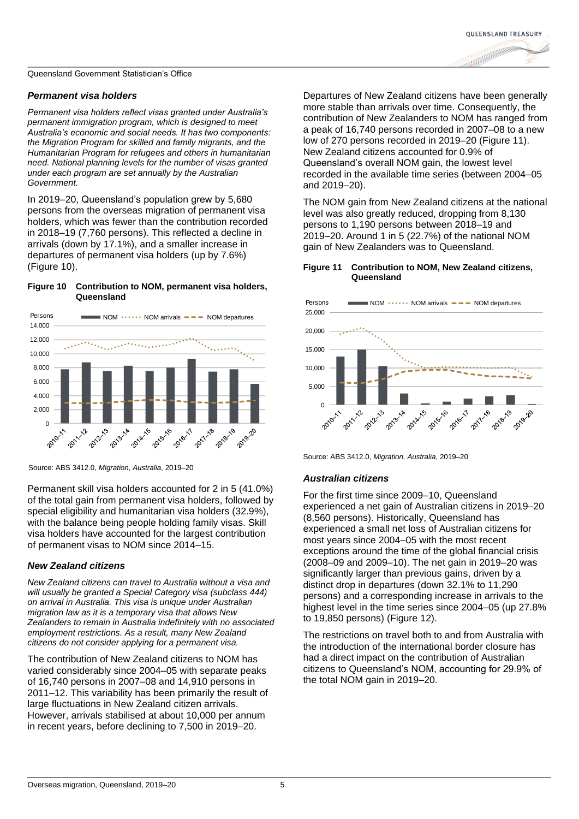## *Permanent visa holders*

*Permanent visa holders reflect visas granted under Australia's permanent immigration program, which is designed to meet Australia's economic and social needs. It has two components: the Migration Program for skilled and family migrants, and the Humanitarian Program for refugees and others in humanitarian need. National planning levels for the number of visas granted under each program are set annually by the Australian Government.*

In 2019–20, Queensland's population grew by 5,680 persons from the overseas migration of permanent visa holders, which was fewer than the contribution recorded in 2018–19 (7,760 persons). This reflected a decline in arrivals (down by 17.1%), and a smaller increase in departures of permanent visa holders (up by 7.6%) [\(Figure 10\)](#page-4-0).

## <span id="page-4-0"></span>**Figure 10 Contribution to NOM, permanent visa holders, Queensland**



Source: ABS 3412.0, *Migration, Australia*, 2019–20

Permanent skill visa holders accounted for 2 in 5 (41.0%) of the total gain from permanent visa holders, followed by special eligibility and humanitarian visa holders (32.9%), with the balance being people holding family visas. Skill visa holders have accounted for the largest contribution of permanent visas to NOM since 2014–15.

## *New Zealand citizens*

*New Zealand citizens can travel to Australia without a visa and will usually be granted a Special Category visa (subclass 444) on arrival in Australia. This visa is unique under Australian migration law as it is a temporary visa that allows New Zealanders to remain in Australia indefinitely with no associated employment restrictions. As a result, many New Zealand citizens do not consider applying for a permanent visa.*

The contribution of New Zealand citizens to NOM has varied considerably since 2004–05 with separate peaks of 16,740 persons in 2007–08 and 14,910 persons in 2011–12. This variability has been primarily the result of large fluctuations in New Zealand citizen arrivals. However, arrivals stabilised at about 10,000 per annum in recent years, before declining to 7,500 in 2019–20.

Departures of New Zealand citizens have been generally more stable than arrivals over time. Consequently, the contribution of New Zealanders to NOM has ranged from a peak of 16,740 persons recorded in 2007–08 to a new low of 270 persons recorded in 2019–20 (Figure 11). New Zealand citizens accounted for 0.9% of Queensland's overall NOM gain, the lowest level recorded in the available time series (between 2004–05 and 2019–20).

The NOM gain from New Zealand citizens at the national level was also greatly reduced, dropping from 8,130 persons to 1,190 persons between 2018–19 and 2019–20. Around 1 in 5 (22.7%) of the national NOM gain of New Zealanders was to Queensland.

## **Figure 11 Contribution to NOM, New Zealand citizens, Queensland**



Source: ABS 3412.0, *Migration, Australia*, 2019–20

## *Australian citizens*

For the first time since 2009–10, Queensland experienced a net gain of Australian citizens in 2019–20 (8,560 persons). Historically, Queensland has experienced a small net loss of Australian citizens for most years since 2004–05 with the most recent exceptions around the time of the global financial crisis (2008–09 and 2009–10). The net gain in 2019–20 was significantly larger than previous gains, driven by a distinct drop in departures (down 32.1% to 11,290 persons) and a corresponding increase in arrivals to the highest level in the time series since 2004–05 (up 27.8% to 19,850 persons) [\(Figure 12\)](#page-5-0).

The restrictions on travel both to and from Australia with the introduction of the international border closure has had a direct impact on the contribution of Australian citizens to Queensland's NOM, accounting for 29.9% of the total NOM gain in 2019–20.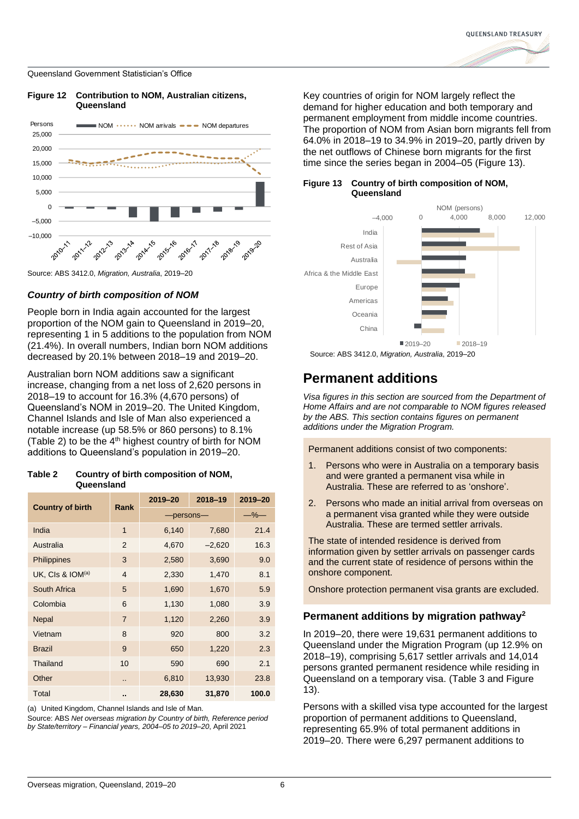

<span id="page-5-0"></span>**Figure 12 Contribution to NOM, Australian citizens,** 



## *Country of birth composition of NOM*

People born in India again accounted for the largest proportion of the NOM gain to Queensland in 2019–20, representing 1 in 5 additions to the population from NOM (21.4%). In overall numbers, Indian born NOM additions decreased by 20.1% between 2018–19 and 2019–20.

Australian born NOM additions saw a significant increase, changing from a net loss of 2,620 persons in 2018–19 to account for 16.3% (4,670 persons) of Queensland's NOM in 2019–20. The United Kingdom, Channel Islands and Isle of Man also experienced a notable increase (up 58.5% or 860 persons) to 8.1% [\(Table 2\)](#page-5-1) to be the  $4<sup>th</sup>$  highest country of birth for NOM additions to Queensland's population in 2019–20.

## <span id="page-5-1"></span>**Table 2 Country of birth composition of NOM, Queensland**

|                         | Rank                 | 2019-20   | 2018-19   | 2019-20 |
|-------------------------|----------------------|-----------|-----------|---------|
| <b>Country of birth</b> |                      | -persons- | $-$ % $-$ |         |
| India                   | $\mathbf{1}$         | 6,140     | 7,680     | 21.4    |
| Australia               | 2                    | 4,670     | $-2,620$  | 16.3    |
| Philippines             | 3                    | 2,580     | 3,690     | 9.0     |
| UK. CIs & $LOM(a)$      | $\overline{4}$       | 2,330     | 1,470     | 8.1     |
| South Africa            | 5                    | 1,690     | 1,670     | 5.9     |
| Colombia                | 6                    | 1,130     | 1,080     | 3.9     |
| <b>Nepal</b>            | $\overline{7}$       | 1,120     | 2,260     | 3.9     |
| Vietnam                 | 8                    | 920       | 800       | 3.2     |
| <b>Brazil</b>           | 9                    | 650       | 1,220     | 2.3     |
| Thailand                | 10                   | 590       | 690       | 2.1     |
| Other                   | $\ddot{\phantom{a}}$ | 6,810     | 13,930    | 23.8    |
| Total                   |                      | 28,630    | 31,870    | 100.0   |

(a) United Kingdom, Channel Islands and Isle of Man.

Source: ABS *Net overseas migration by Country of birth, Reference period by State/territory – Financial years, 2004*–*05 to 2019*–*20*, April 2021

Key countries of origin for NOM largely reflect the demand for higher education and both temporary and permanent employment from middle income countries. The proportion of NOM from Asian born migrants fell from 64.0% in 2018–19 to 34.9% in 2019–20, partly driven by the net outflows of Chinese born migrants for the first time since the series began in 2004–05 [\(Figure 13\)](#page-6-0).

## **Figure 13 Country of birth composition of NOM, Queensland**





## **Permanent additions**

*Visa figures in this section are sourced from the Department of Home Affairs and are not comparable to NOM figures released by the ABS. This section contains figures on permanent additions under the Migration Program.*

Permanent additions consist of two components:

- 1. Persons who were in Australia on a temporary basis and were granted a permanent visa while in Australia. These are referred to as 'onshore'.
- 2. Persons who made an initial arrival from overseas on a permanent visa granted while they were outside Australia. These are termed settler arrivals.

The state of intended residence is derived from information given by settler arrivals on passenger cards and the current state of residence of persons within the onshore component.

Onshore protection permanent visa grants are excluded.

## **Permanent additions by migration pathway<sup>2</sup>**

In 2019–20, there were 19,631 permanent additions to Queensland under the Migration Program (up 12.9% on 2018–19), comprising 5,617 settler arrivals and 14,014 persons granted permanent residence while residing in Queensland on a temporary visa. [\(Table 3](#page-6-1) and [Figure](#page-6-0)  [13\)](#page-6-0).

Persons with a skilled visa type accounted for the largest proportion of permanent additions to Queensland, representing 65.9% of total permanent additions in 2019–20. There were 6,297 permanent additions to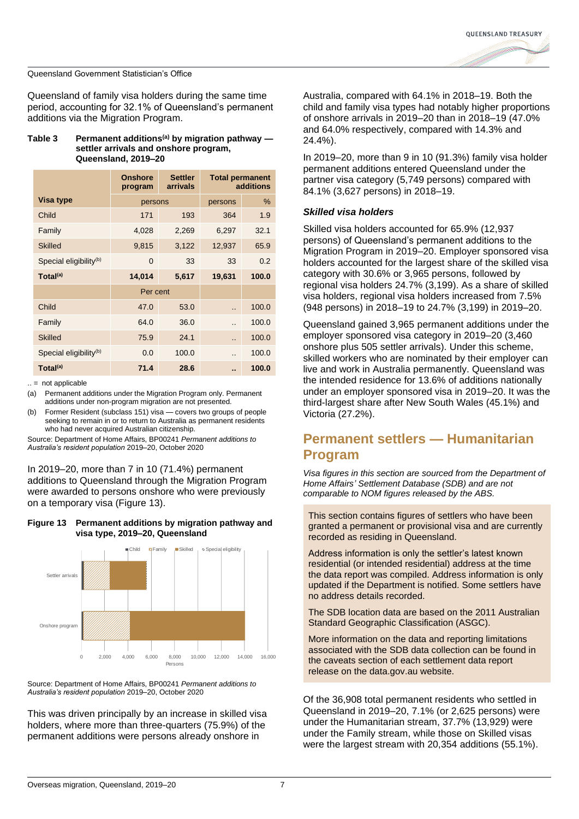

Queensland of family visa holders during the same time period, accounting for 32.1% of Queensland's permanent additions via the Migration Program.

#### <span id="page-6-1"></span>**Table 3 Permanent additions(a) by migration pathway settler arrivals and onshore program, Queensland, 2019–20**

|                                    | <b>Onshore</b><br>program | <b>Settler</b><br>arrivals | <b>Total permanent</b><br>additions |       |
|------------------------------------|---------------------------|----------------------------|-------------------------------------|-------|
| Visa type                          | persons                   |                            | persons                             | $\%$  |
| Child                              | 171                       | 193                        | 364                                 | 1.9   |
| Family                             | 4,028                     | 2,269                      | 6,297                               | 32.1  |
| <b>Skilled</b>                     | 9,815                     | 3,122                      | 12,937                              | 65.9  |
| Special eligibility <sup>(b)</sup> | $\Omega$                  | 33                         | 33                                  | 0.2   |
| Total <sup>(a)</sup>               | 14,014                    | 5,617                      | 19,631                              | 100.0 |
|                                    | Per cent                  |                            |                                     |       |
| Child                              | 47.0                      | 53.0                       | $\ddot{\phantom{a}}$                | 100.0 |
| Family                             | 64.0                      | 36.0                       | $\ddot{\phantom{a}}$                | 100.0 |
| <b>Skilled</b>                     | 75.9                      | 24.1                       | $\ddot{\phantom{a}}$                | 100.0 |
| Special eligibility <sup>(b)</sup> | 0.0                       | 100.0                      | $\ddot{\phantom{a}}$                | 100.0 |
| Total <sup>(a)</sup>               | 71.4                      | 28.6                       | ٠.                                  | 100.0 |

 $\ldots$  = not applicable

(a) Permanent additions under the Migration Program only. Permanent additions under non-program migration are not presented.

(b) Former Resident (subclass 151) visa — covers two groups of people seeking to remain in or to return to Australia as permanent residents who had never acquired Australian citizenship.

Source: Department of Home Affairs, BP00241 *Permanent additions to Australia's resident population* 2019–20, October 2020

In 2019–20, more than 7 in 10 (71.4%) permanent additions to Queensland through the Migration Program were awarded to persons onshore who were previously on a temporary visa (Figure 13).

## <span id="page-6-0"></span>**Figure 13 Permanent additions by migration pathway and visa type, 2019–20, Queensland**



Source: Department of Home Affairs, BP00241 *Permanent additions to Australia's resident population* 2019–20, October 2020

This was driven principally by an increase in skilled visa holders, where more than three-quarters (75.9%) of the permanent additions were persons already onshore in

Australia, compared with 64.1% in 2018–19. Both the child and family visa types had notably higher proportions of onshore arrivals in 2019–20 than in 2018–19 (47.0% and 64.0% respectively, compared with 14.3% and 24.4%).

In 2019–20, more than 9 in 10 (91.3%) family visa holder permanent additions entered Queensland under the partner visa category (5,749 persons) compared with 84.1% (3,627 persons) in 2018–19.

## *Skilled visa holders*

Skilled visa holders accounted for 65.9% (12,937 persons) of Queensland's permanent additions to the Migration Program in 2019–20. Employer sponsored visa holders accounted for the largest share of the skilled visa category with 30.6% or 3,965 persons, followed by regional visa holders 24.7% (3,199). As a share of skilled visa holders, regional visa holders increased from 7.5% (948 persons) in 2018–19 to 24.7% (3,199) in 2019–20.

Queensland gained 3,965 permanent additions under the employer sponsored visa category in 2019–20 (3,460 onshore plus 505 settler arrivals). Under this scheme, skilled workers who are nominated by their employer can live and work in Australia permanently. Queensland was the intended residence for 13.6% of additions nationally under an employer sponsored visa in 2019–20. It was the third-largest share after New South Wales (45.1%) and Victoria (27.2%).

## **Permanent settlers — Humanitarian Program**

*Visa figures in this section are sourced from the Department of Home Affairs' Settlement Database (SDB) and are not comparable to NOM figures released by the ABS.* 

This section contains figures of settlers who have been granted a permanent or provisional visa and are currently recorded as residing in Queensland.

Address information is only the settler's latest known residential (or intended residential) address at the time the data report was compiled. Address information is only updated if the Department is notified. Some settlers have no address details recorded.

The SDB location data are based on the 2011 Australian Standard Geographic Classification (ASGC).

More information on the data and reporting limitations associated with the SDB data collection can be found in the caveats section of each settlement data report release on the data.gov.au website.

Of the 36,908 total permanent residents who settled in Queensland in 2019–20, 7.1% (or 2,625 persons) were under the Humanitarian stream, 37.7% (13,929) were under the Family stream, while those on Skilled visas were the largest stream with 20,354 additions (55.1%).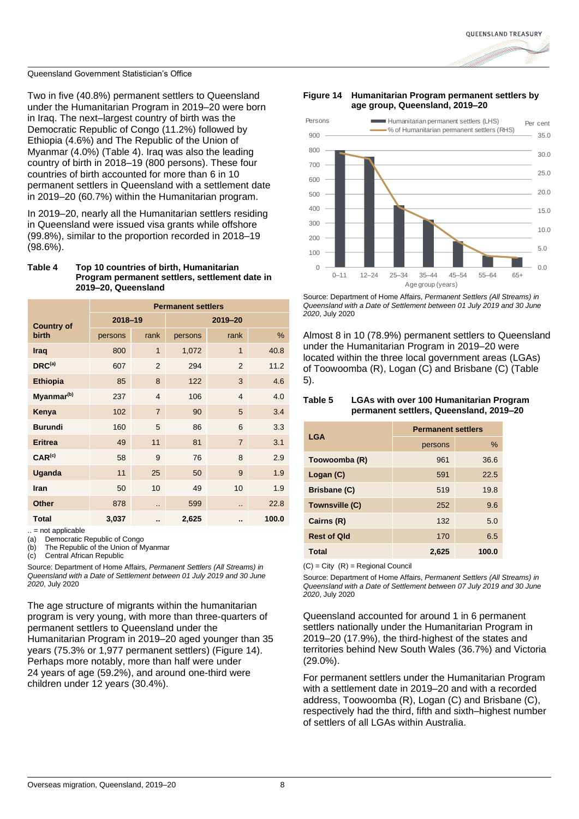Two in five (40.8%) permanent settlers to Queensland under the Humanitarian Program in 2019–20 were born in Iraq. The next–largest country of birth was the Democratic Republic of Congo (11.2%) followed by Ethiopia (4.6%) and The Republic of the Union of Myanmar (4.0%) (Table 4). Iraq was also the leading country of birth in 2018–19 (800 persons). These four countries of birth accounted for more than 6 in 10 permanent settlers in Queensland with a settlement date in 2019–20 (60.7%) within the Humanitarian program.

In 2019–20, nearly all the Humanitarian settlers residing in Queensland were issued visa grants while offshore (99.8%), similar to the proportion recorded in 2018–19 (98.6%).

### **Table 4 Top 10 countries of birth, Humanitarian Program permanent settlers, settlement date in 2019–20, Queensland**

|                        | <b>Permanent settlers</b> |                |         |                |       |
|------------------------|---------------------------|----------------|---------|----------------|-------|
| <b>Country of</b>      | $2018 - 19$               |                | 2019-20 |                |       |
| <b>birth</b>           | persons                   | rank           | persons | rank           | %     |
| Iraq                   | 800                       | $\mathbf{1}$   | 1,072   | 1              | 40.8  |
| DRC <sup>(a)</sup>     | 607                       | $\overline{2}$ | 294     | 2              | 11.2  |
| <b>Ethiopia</b>        | 85                        | 8              | 122     | 3              | 4.6   |
| Myanmar <sup>(b)</sup> | 237                       | $\overline{4}$ | 106     | $\overline{4}$ | 4.0   |
| Kenya                  | 102                       | $\overline{7}$ | 90      | 5              | 3.4   |
| <b>Burundi</b>         | 160                       | 5              | 86      | 6              | 3.3   |
| <b>Eritrea</b>         | 49                        | 11             | 81      | $\overline{7}$ | 3.1   |
| CAR <sup>(c)</sup>     | 58                        | 9              | 76      | 8              | 2.9   |
| Uganda                 | 11                        | 25             | 50      | 9              | 1.9   |
| Iran                   | 50                        | 10             | 49      | 10             | 1.9   |
| <b>Other</b>           | 878                       | ٠.             | 599     |                | 22.8  |
| Total                  | 3,037                     |                | 2,625   |                | 100.0 |

.. = not applicable

(a) Democratic Republic of Congo<br>(b) The Republic of the Union of M

The Republic of the Union of Myanmar

(c) Central African Republic

Source: Department of Home Affairs, *Permanent Settlers (All Streams) in Queensland with a Date of Settlement between 01 July 2019 and 30 June 2020*, July 2020

The age structure of migrants within the humanitarian program is very young, with more than three-quarters of permanent settlers to Queensland under the Humanitarian Program in 2019–20 aged younger than 35 years (75.3% or 1,977 permanent settlers) [\(Figure 14\)](#page-7-0). Perhaps more notably, more than half were under 24 years of age (59.2%), and around one-third were children under 12 years (30.4%).

<span id="page-7-0"></span>



Source: Department of Home Affairs, *Permanent Settlers (All Streams) in Queensland with a Date of Settlement between 01 July 2019 and 30 June 2020*, July 2020

Almost 8 in 10 (78.9%) permanent settlers to Queensland under the Humanitarian Program in 2019–20 were located within the three local government areas (LGAs) of Toowoomba (R), Logan (C) and Brisbane (C) [\(Table](#page-7-1)  [5\)](#page-7-1).

## <span id="page-7-1"></span>**Table 5 LGAs with over 100 Humanitarian Program permanent settlers, Queensland, 2019–20**

| <b>LGA</b>         | <b>Permanent settlers</b> |       |  |
|--------------------|---------------------------|-------|--|
|                    | persons                   | $\%$  |  |
| Toowoomba (R)      | 961                       | 36.6  |  |
| Logan (C)          | 591                       | 22.5  |  |
| Brisbane (C)       | 519                       | 19.8  |  |
| Townsville (C)     | 252                       | 9.6   |  |
| Cairns (R)         | 132                       | 5.0   |  |
| <b>Rest of Old</b> | 170                       | 6.5   |  |
| <b>Total</b>       | 2,625                     | 100.0 |  |

 $(C) = City (R) = Regional Council$ 

Source: Department of Home Affairs, *Permanent Settlers (All Streams) in Queensland with a Date of Settlement between 07 July 2019 and 30 June 2020*, July 2020

Queensland accounted for around 1 in 6 permanent settlers nationally under the Humanitarian Program in 2019–20 (17.9%), the third-highest of the states and territories behind New South Wales (36.7%) and Victoria (29.0%).

For permanent settlers under the Humanitarian Program with a settlement date in 2019–20 and with a recorded address, Toowoomba (R), Logan (C) and Brisbane (C), respectively had the third, fifth and sixth–highest number of settlers of all LGAs within Australia.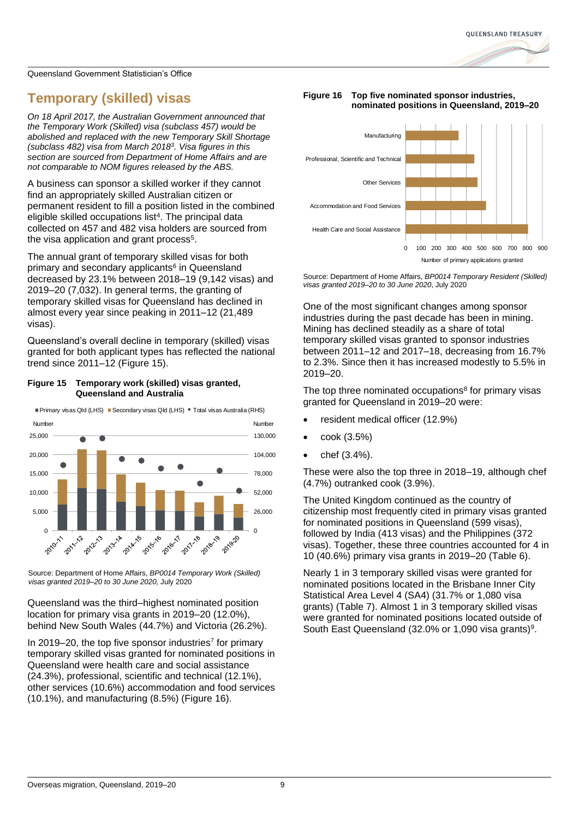## **Temporary (skilled) visas**

*On 18 April 2017, the Australian Government announced that the Temporary Work (Skilled) visa (subclass 457) would be abolished and replaced with the new Temporary Skill Shortage (subclass 482) visa from March 2018<sup>3</sup> . Visa figures in this section are sourced from Department of Home Affairs and are not comparable to NOM figures released by the ABS.*

A business can sponsor a skilled worker if they cannot find an appropriately skilled Australian citizen or permanent resident to fill a position listed in the combined eligible skilled occupations list<sup>4</sup>. The principal data collected on 457 and 482 visa holders are sourced from the visa application and grant process<sup>5</sup>.

The annual grant of temporary skilled visas for both primary and secondary applicants<sup>6</sup> in Queensland decreased by 23.1% between 2018–19 (9,142 visas) and 2019–20 (7,032). In general terms, the granting of temporary skilled visas for Queensland has declined in almost every year since peaking in 2011–12 (21,489 visas).

Queensland's overall decline in temporary (skilled) visas granted for both applicant types has reflected the national trend since 2011–12 [\(Figure 15\)](#page-8-0).

## <span id="page-8-0"></span>**Figure 15 Temporary work (skilled) visas granted, Queensland and Australia**



Source: Department of Home Affairs, *BP0014 Temporary Work (Skilled) visas granted 2019–20 to 30 June 2020,* July 2020

Queensland was the third–highest nominated position location for primary visa grants in 2019–20 (12.0%), behind New South Wales (44.7%) and Victoria (26.2%).

In 2019–20, the top five sponsor industries<sup>7</sup> for primary temporary skilled visas granted for nominated positions in Queensland were health care and social assistance (24.3%), professional, scientific and technical (12.1%), other services (10.6%) accommodation and food services (10.1%), and manufacturing (8.5%) [\(Figure 16\)](#page-8-1).

## <span id="page-8-1"></span>**Figure 16 Top five nominated sponsor industries, nominated positions in Queensland, 2019–20**



Source: Department of Home Affairs, *BP0014 Temporary Resident (Skilled) visas granted 2019–20 to 30 June 2020*, July 2020

One of the most significant changes among sponsor industries during the past decade has been in mining. Mining has declined steadily as a share of total temporary skilled visas granted to sponsor industries between 2011–12 and 2017–18, decreasing from 16.7% to 2.3%. Since then it has increased modestly to 5.5% in 2019–20.

The top three nominated occupations<sup>8</sup> for primary visas granted for Queensland in 2019–20 were:

- resident medical officer (12.9%)
- cook (3.5%)
- chef (3.4%).

These were also the top three in 2018–19, although chef (4.7%) outranked cook (3.9%).

The United Kingdom continued as the country of citizenship most frequently cited in primary visas granted for nominated positions in Queensland (599 visas), followed by India (413 visas) and the Philippines (372 visas). Together, these three countries accounted for 4 in 10 (40.6%) primary visa grants in 2019–20 [\(Table 6\)](#page-9-0).

Nearly 1 in 3 temporary skilled visas were granted for nominated positions located in the Brisbane Inner City Statistical Area Level 4 (SA4) (31.7% or 1,080 visa grants) [\(Table 7\)](#page-9-1). Almost 1 in 3 temporary skilled visas were granted for nominated positions located outside of South East Queensland (32.0% or 1,090 visa grants)<sup>9</sup>.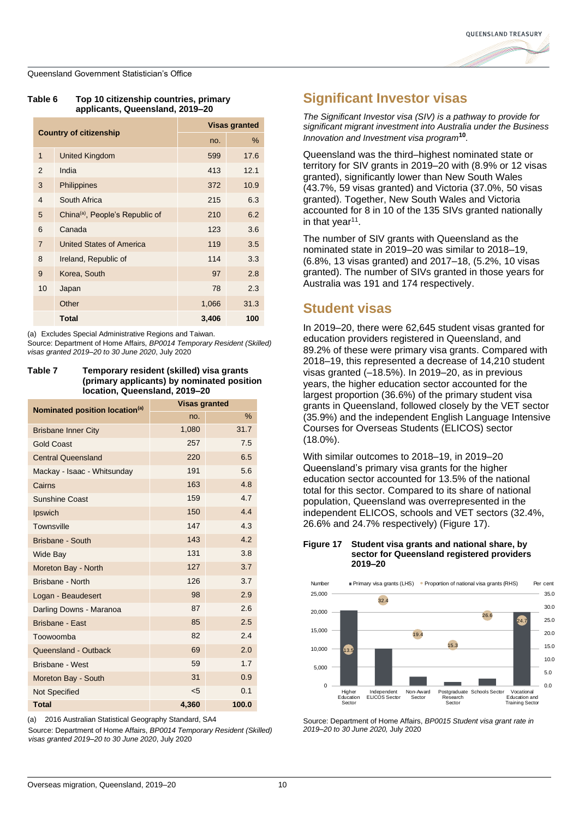

<span id="page-9-0"></span>

| Table 6 | Top 10 citizenship countries, primary |  |  |
|---------|---------------------------------------|--|--|
|         | applicants, Queensland, 2019–20       |  |  |

| <b>Country of citizenship</b> |                                             |       | <b>Visas granted</b> |
|-------------------------------|---------------------------------------------|-------|----------------------|
|                               |                                             | no.   | %                    |
| $\mathbf{1}$                  | <b>United Kingdom</b>                       | 599   | 17.6                 |
| 2                             | India                                       | 413   | 12.1                 |
| 3                             | Philippines                                 | 372   | 10.9                 |
| 4                             | South Africa                                | 215   | 6.3                  |
| 5                             | China <sup>(a)</sup> , People's Republic of | 210   | 6.2                  |
| 6                             | Canada                                      | 123   | 3.6                  |
| $\overline{7}$                | United States of America                    | 119   | 3.5                  |
| 8                             | Ireland, Republic of                        | 114   | 3.3                  |
| 9                             | Korea, South                                | 97    | 2.8                  |
| 10                            | Japan                                       | 78    | 2.3                  |
|                               | Other                                       | 1,066 | 31.3                 |
|                               | <b>Total</b>                                | 3,406 | 100                  |

(a) Excludes Special Administrative Regions and Taiwan.

Source: Department of Home Affairs, *BP0014 Temporary Resident (Skilled) visas granted 2019–20 to 30 June 2020*, July 2020

#### <span id="page-9-1"></span>**Table 7 Temporary resident (skilled) visa grants (primary applicants) by nominated position location, Queensland, 2019–20**

| Nominated position location <sup>(a)</sup> | <b>Visas granted</b> |       |  |
|--------------------------------------------|----------------------|-------|--|
|                                            | no.                  | %     |  |
| <b>Brisbane Inner City</b>                 | 1,080                | 31.7  |  |
| <b>Gold Coast</b>                          | 257                  | 7.5   |  |
| <b>Central Queensland</b>                  | 220                  | 6.5   |  |
| Mackay - Isaac - Whitsunday                | 191                  | 5.6   |  |
| Cairns                                     | 163                  | 4.8   |  |
| <b>Sunshine Coast</b>                      | 159                  | 4.7   |  |
| Ipswich                                    | 150                  | 4.4   |  |
| Townsville                                 | 147                  | 4.3   |  |
| Brisbane - South                           | 143                  | 4.2   |  |
| Wide Bay                                   | 131                  | 3.8   |  |
| Moreton Bay - North                        | 127                  | 3.7   |  |
| Brisbane - North                           | 126                  | 3.7   |  |
| Logan - Beaudesert                         | 98                   | 2.9   |  |
| Darling Downs - Maranoa                    | 87                   | 2.6   |  |
| <b>Brisbane - East</b>                     | 85                   | 2.5   |  |
| Toowoomba                                  | 82                   | 2.4   |  |
| Queensland - Outback                       | 69                   | 2.0   |  |
| <b>Brisbane - West</b>                     | 59                   | 1.7   |  |
| Moreton Bay - South                        | 31                   | 0.9   |  |
| <b>Not Specified</b>                       | $5$                  | 0.1   |  |
| <b>Total</b>                               | 4.360                | 100.0 |  |

(a) 2016 Australian Statistical Geography Standard, SA4

Source: Department of Home Affairs, *BP0014 Temporary Resident (Skilled) visas granted 2019–20 to 30 June 2020*, July 2020

## **Significant Investor visas**

*The Significant Investor visa (SIV) is a pathway to provide for significant migrant investment into Australia under the Business Innovation and Investment visa program***<sup>10</sup>** *.*

Queensland was the third–highest nominated state or territory for SIV grants in 2019–20 with (8.9% or 12 visas granted), significantly lower than New South Wales (43.7%, 59 visas granted) and Victoria (37.0%, 50 visas granted). Together, New South Wales and Victoria accounted for 8 in 10 of the 135 SIVs granted nationally in that year<sup>11</sup>.

The number of SIV grants with Queensland as the nominated state in 2019–20 was similar to 2018–19, (6.8%, 13 visas granted) and 2017–18, (5.2%, 10 visas granted). The number of SIVs granted in those years for Australia was 191 and 174 respectively.

## **Student visas**

In 2019–20, there were 62,645 student visas granted for education providers registered in Queensland, and 89.2% of these were primary visa grants. Compared with 2018–19, this represented a decrease of 14,210 student visas granted (–18.5%). In 2019–20, as in previous years, the higher education sector accounted for the largest proportion (36.6%) of the primary student visa grants in Queensland, followed closely by the VET sector (35.9%) and the independent English Language Intensive Courses for Overseas Students (ELICOS) sector (18.0%).

With similar outcomes to 2018–19, in 2019–20 Queensland's primary visa grants for the higher education sector accounted for 13.5% of the national total for this sector. Compared to its share of national population, Queensland was overrepresented in the independent ELICOS, schools and VET sectors (32.4%, 26.6% and 24.7% respectively) [\(Figure 17\)](#page-9-2).

## <span id="page-9-2"></span>**Figure 17 Student visa grants and national share, by sector for Queensland registered providers 2019–20**



Source: Department of Home Affairs, *BP0015 Student visa grant rate in 2019–20 to 30 June 2020,* July 2020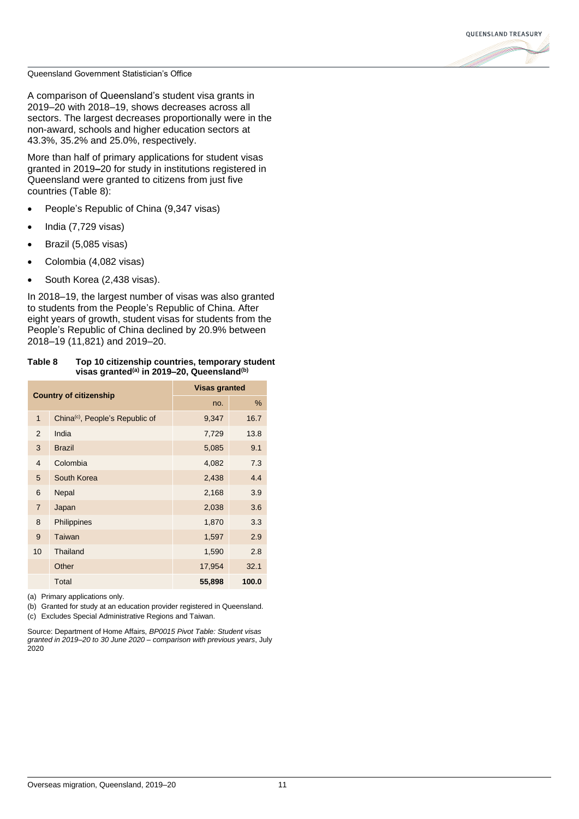

A comparison of Queensland's student visa grants in 2019–20 with 2018–19, shows decreases across all sectors. The largest decreases proportionally were in the non-award, schools and higher education sectors at 43.3%, 35.2% and 25.0%, respectively.

More than half of primary applications for student visas granted in 2019**–**20 for study in institutions registered in Queensland were granted to citizens from just five countries (Table 8):

- People's Republic of China (9,347 visas)
- India (7,729 visas)
- Brazil (5,085 visas)
- Colombia (4,082 visas)
- South Korea (2,438 visas).

In 2018–19, the largest number of visas was also granted to students from the People's Republic of China. After eight years of growth, student visas for students from the People's Republic of China declined by 20.9% between 2018–19 (11,821) and 2019–20.

## **Table 8 Top 10 citizenship countries, temporary student visas granted(a) in 2019–20, Queensland(b)**

| <b>Country of citizenship</b> |                                             | <b>Visas granted</b> |       |  |
|-------------------------------|---------------------------------------------|----------------------|-------|--|
|                               |                                             | no.                  | %     |  |
| $\mathbf{1}$                  | China <sup>(c)</sup> , People's Republic of | 9,347                | 16.7  |  |
| 2                             | India                                       | 7,729                | 13.8  |  |
| 3                             | <b>Brazil</b>                               | 5,085                | 9.1   |  |
| $\overline{4}$                | Colombia                                    | 4,082                | 7.3   |  |
| 5                             | South Korea                                 | 2,438                | 4.4   |  |
| 6                             | Nepal                                       | 2,168                | 3.9   |  |
| $\overline{7}$                | Japan                                       | 2,038                | 3.6   |  |
| 8                             | Philippines                                 | 1,870                | 3.3   |  |
| 9                             | Taiwan                                      | 1,597                | 2.9   |  |
| 10                            | Thailand                                    | 1,590                | 2.8   |  |
|                               | Other                                       | 17,954               | 32.1  |  |
|                               | Total                                       | 55,898               | 100.0 |  |

(a) Primary applications only.

(b) Granted for study at an education provider registered in Queensland. (c) Excludes Special Administrative Regions and Taiwan.

Source: Department of Home Affairs, *BP0015 Pivot Table: Student visas granted in 2019–20 to 30 June 2020 – comparison with previous years*, July 2020